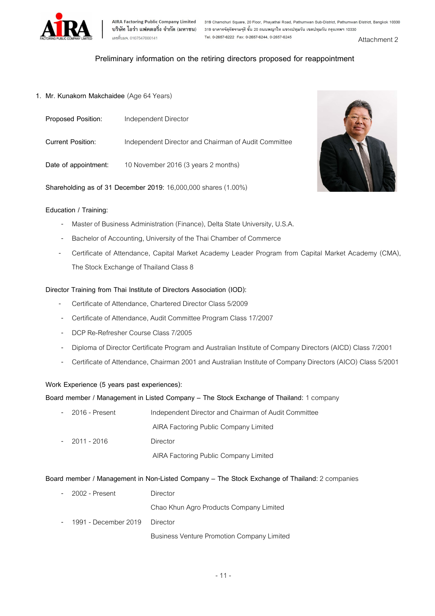

AIRA Factoring Public Company Limited 319 Chamchuri Square, 20 Floor, Phayathai Road, Pathumwan Sub-District, Pathumwan District, Bangkok 10330<br>บริษัท ไอร่า แฟคตอริ่ง จำกัด (มหาชน) 319 อาคารจัตุรัสจามจุรี ชั้น 20 ถนนพญาไท 

# Preliminary information on the retiring directors proposed for reappointment

#### 1. Mr. Kunakorn Makchaidee (Age 64 Years)

| Proposed Position:       | Independent Director                                 |
|--------------------------|------------------------------------------------------|
| <b>Current Position:</b> | Independent Director and Chairman of Audit Committee |
| Date of appointment:     | 10 November 2016 (3 years 2 months)                  |

Shareholding as of 31 December 2019: 16,000,000 shares (1.00%)

#### Education / Training:

- Master of Business Administration (Finance), Delta State University, U.S.A.
- Bachelor of Accounting, University of the Thai Chamber of Commerce
- Certificate of Attendance, Capital Market Academy Leader Program from Capital Market Academy (CMA), The Stock Exchange of Thailand Class 8

## Director Training from Thai Institute of Directors Association (IOD):

- Certificate of Attendance, Chartered Director Class 5/2009
- Certificate of Attendance, Audit Committee Program Class 17/2007
- DCP Re-Refresher Course Class 7/2005
- Diploma of Director Certificate Program and Australian Institute of Company Directors (AICD) Class 7/2001
- Certificate of Attendance, Chairman 2001 and Australian Institute of Company Directors (AICO) Class 5/2001

#### Work Experience (5 years past experiences):

### Board member / Management in Listed Company – The Stock Exchange of Thailand: 1 company

| - 2016 - Present | Independent Director and Chairman of Audit Committee |
|------------------|------------------------------------------------------|
|                  | AIRA Factoring Public Company Limited                |
| $-2011 - 2016$   | Director                                             |
|                  | AIRA Factoring Public Company Limited                |

#### Board member / Management in Non-Listed Company – The Stock Exchange of Thailand: 2 companies

| - 2002 - Present              | Director                                          |
|-------------------------------|---------------------------------------------------|
|                               | Chao Khun Agro Products Company Limited           |
| 1991 - December 2019 Director |                                                   |
|                               | <b>Business Venture Promotion Company Limited</b> |

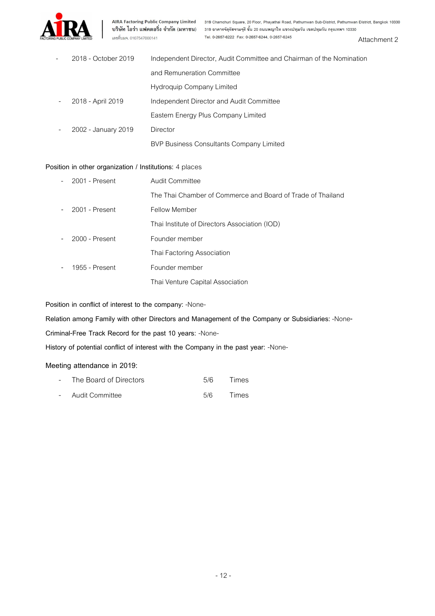

AIRA Factoring Public Company Limited 319 Chamchuri Square, 20 Floor, Phayathai Road, Pathumwan Sub-District, Pathumwan District, Bangkok 10330<br>บริษัท ไอร่า แฟคตอริ่ง จำกัด (มหาชน) 319 อาคารจัตุรัสจามจุริ ชั้น 20 ถนนพญาไท Attachment 2

| $\overline{\phantom{a}}$ | 2018 - October 2019 | Independent Director, Audit Committee and Chairman of the Nomination |  |
|--------------------------|---------------------|----------------------------------------------------------------------|--|
|                          |                     | and Remuneration Committee                                           |  |
|                          |                     | Hydroguip Company Limited                                            |  |
|                          | 2018 - April 2019   | Independent Director and Audit Committee                             |  |
|                          |                     | Eastern Energy Plus Company Limited                                  |  |
|                          | 2002 - January 2019 | Director                                                             |  |
|                          |                     | BVP Business Consultants Company Limited                             |  |

# Position in other organization / Institutions: 4 places

| $-2001$ - Present | <b>Audit Committee</b>                                      |
|-------------------|-------------------------------------------------------------|
|                   | The Thai Chamber of Commerce and Board of Trade of Thailand |
| $-2001$ - Present | Fellow Member                                               |
|                   | Thai Institute of Directors Association (IOD)               |
| $-2000$ - Present | Founder member                                              |
|                   | Thai Factoring Association                                  |
| 1955 - Present    | Founder member                                              |
|                   | Thai Venture Capital Association                            |

Position in conflict of interest to the company: -None-

Relation among Family with other Directors and Management of the Company or Subsidiaries: -None-

Criminal-Free Track Record for the past 10 years: -None-

History of potential conflict of interest with the Company in the past year: -None-

# Meeting attendance in 2019:

| - The Board of Directors | 5/6 | Times |
|--------------------------|-----|-------|
| - Audit Committee        | 5/6 | Times |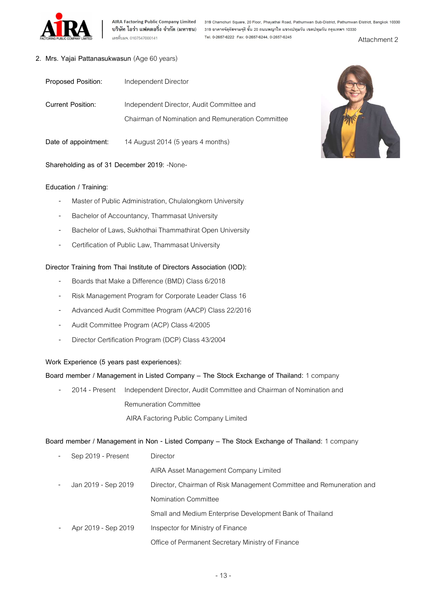

AIRA Factoring Public Company Limited 319 Chamchuri Square, 20 Floor, Phayathai Road, Pathumwan Sub-District, Pathumwan District, Bangkok 10330<br>บริษัท ไอร่า แฟคตอริ่ง จำกัด (มหาชน) 319 อาคารจัตุรัสจามจุรี ชั้น 20 ถนนพญา Attachment 2

## 2. Mrs. Yajai Pattanasukwasun (Age 60 years)

| Proposed Position:       | Independent Director                                                                           |
|--------------------------|------------------------------------------------------------------------------------------------|
| <b>Current Position:</b> | Independent Director, Audit Committee and<br>Chairman of Nomination and Remuneration Committee |
| Date of appointment:     | 14 August 2014 (5 years 4 months)                                                              |

Shareholding as of 31 December 2019: -None-

## Education / Training:

- Master of Public Administration, Chulalongkorn University
- Bachelor of Accountancy, Thammasat University
- Bachelor of Laws, Sukhothai Thammathirat Open University
- Certification of Public Law, Thammasat University

## Director Training from Thai Institute of Directors Association (IOD):

- Boards that Make a Difference (BMD) Class 6/2018
- Risk Management Program for Corporate Leader Class 16
- Advanced Audit Committee Program (AACP) Class 22/2016
- Audit Committee Program (ACP) Class 4/2005
- Director Certification Program (DCP) Class 43/2004

# Work Experience (5 years past experiences):

## Board member / Management in Listed Company – The Stock Exchange of Thailand: 1 company

2014 - Present Independent Director, Audit Committee and Chairman of Nomination and Remuneration Committee AIRA Factoring Public Company Limited

## Board member / Management in Non - Listed Company – The Stock Exchange of Thailand: 1 company

|                          | Sep 2019 - Present  | Director                                                             |
|--------------------------|---------------------|----------------------------------------------------------------------|
|                          |                     | AIRA Asset Management Company Limited                                |
| $\overline{\phantom{a}}$ | Jan 2019 - Sep 2019 | Director, Chairman of Risk Management Committee and Remuneration and |
|                          |                     | Nomination Committee                                                 |
|                          |                     | Small and Medium Enterprise Development Bank of Thailand             |
|                          | Apr 2019 - Sep 2019 | Inspector for Ministry of Finance                                    |
|                          |                     | Office of Permanent Secretary Ministry of Finance                    |

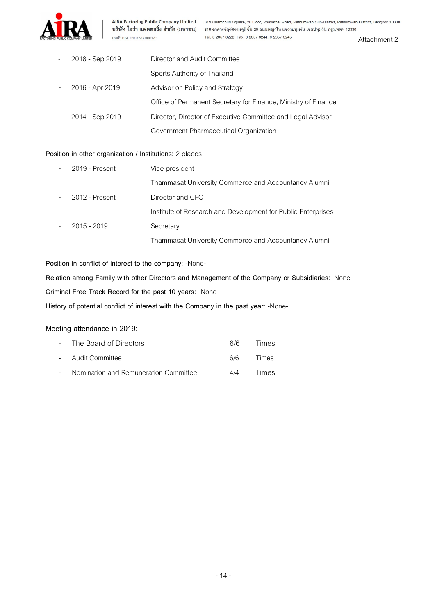

AIRA Factoring Public Company Limited 319 Chamchuri Square, 20 Floor, Phayathai Road, Pathumwan Sub-District, Pathumwan District, Bangkok 10330<br>บริษัท ไอร่า แฟคตอริ่ง จำกัด (มหาชน) 319 อาคารจัตุรัสจามจุรี ชั้น 20 ถนนพญาไท Tel. 0-2657-6222 Fax: 0-2657-6244, 0-2657-6245

| 2018 - Sep 2019 | Director and Audit Committee                                   |
|-----------------|----------------------------------------------------------------|
|                 | Sports Authority of Thailand                                   |
| 2016 - Apr 2019 | Advisor on Policy and Strategy                                 |
|                 | Office of Permanent Secretary for Finance, Ministry of Finance |
| 2014 - Sep 2019 | Director, Director of Executive Committee and Legal Advisor    |
|                 | Government Pharmaceutical Organization                         |

#### Position in other organization / Institutions: 2 places

| 2019 - Present | Vice president                                               |
|----------------|--------------------------------------------------------------|
|                | Thammasat University Commerce and Accountancy Alumni         |
| 2012 - Present | Director and CFO                                             |
|                | Institute of Research and Development for Public Enterprises |
| $2015 - 2019$  | Secretary                                                    |
|                | Thammasat University Commerce and Accountancy Alumni         |

Position in conflict of interest to the company: -None-

Relation among Family with other Directors and Management of the Company or Subsidiaries: -None-

Criminal-Free Track Record for the past 10 years: -None-

History of potential conflict of interest with the Company in the past year: -None-

# Meeting attendance in 2019:

| - The Board of Directors                | 6/6 | Times |
|-----------------------------------------|-----|-------|
| - Audit Committee                       | 6/6 | Times |
| - Nomination and Remuneration Committee | 4/4 | Times |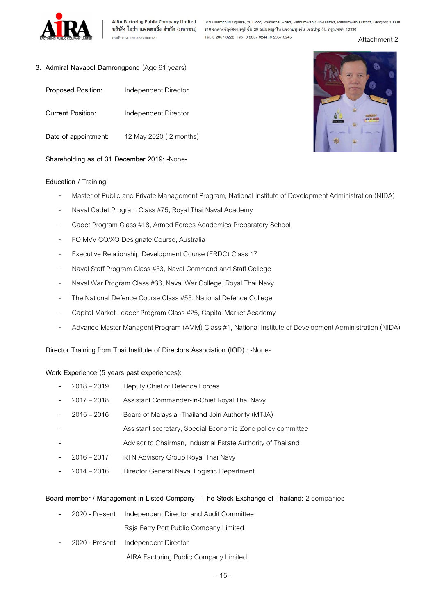

AIRA Factoring Public Company Limited 319 Chamchuri Square, 20 Floor, Phayathai Road, Pathumwan Sub-District, Pathumwan District, Bangkok 10330<br>บริษัท ไอร่า แฟคตอริ่ง จำกัด (มหาชน) 319 อาคารจัตุรัสจามจุรี ชั้น 20 ถนนพญาไท 

Attachment 2

- 3. Admiral Navapol Damrongpong (Age 61 years)
	- Proposed Position: Independent Director
	- Current Position: Independent Director
	- Date of appointment: 12 May 2020 (2 months)

Shareholding as of 31 December 2019: -None-

#### Education / Training:

- Master of Public and Private Management Program, National Institute of Development Administration (NIDA)
- Naval Cadet Program Class #75, Royal Thai Naval Academy
- Cadet Program Class #18, Armed Forces Academies Preparatory School
- FO MVV CO/XO Designate Course, Australia
- Executive Relationship Development Course (ERDC) Class 17
- Naval Staff Program Class #53, Naval Command and Staff College
- Naval War Program Class #36, Naval War College, Royal Thai Navy
- The National Defence Course Class #55, National Defence College
- Capital Market Leader Program Class #25, Capital Market Academy
- Advance Master Managent Program (AMM) Class #1, National Institute of Development Administration (NIDA)

Director Training from Thai Institute of Directors Association (IOD) : -None-

#### Work Experience (5 years past experiences):

- 2018 2019 Deputy Chief of Defence Forces
- 2017 2018 Assistant Commander-In-Chief Royal Thai Navy
- 2015 2016 Board of Malaysia -Thailand Join Authority (MTJA)
- Assistant secretary, Special Economic Zone policy committee
- Advisor to Chairman, Industrial Estate Authority of Thailand
- 2016 2017 RTN Advisory Group Royal Thai Navy
- 2014 2016 Director General Naval Logistic Department

#### Board member / Management in Listed Company – The Stock Exchange of Thailand: 2 companies

- 2020 Present Independent Director and Audit Committee Raja Ferry Port Public Company Limited
- 2020 Present Independent Director

AIRA Factoring Public Company Limited